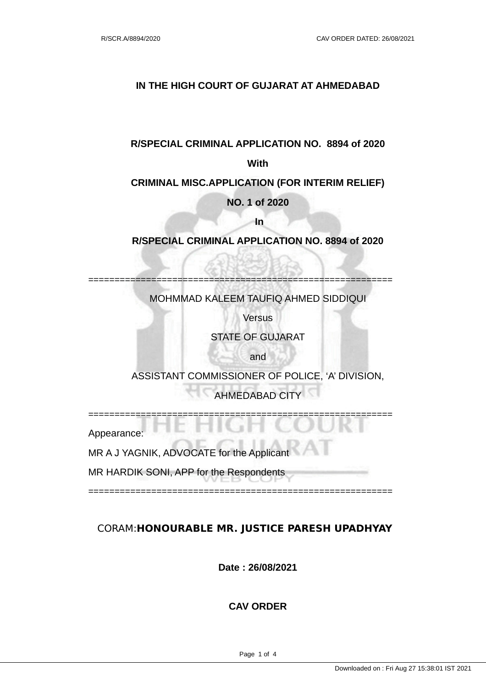## **IN THE HIGH COURT OF GUJARAT AT AHMEDABAD**

#### **R/SPECIAL CRIMINAL APPLICATION NO. 8894 of 2020**

#### **With**

#### **CRIMINAL MISC.APPLICATION (FOR INTERIM RELIEF)**

## **NO. 1 of 2020**

 **In** 

#### **R/SPECIAL CRIMINAL APPLICATION NO. 8894 of 2020**

MOHMMAD KALEEM TAUFIQ AHMED SIDDIQUI

==========================================================

**Versus** 

#### STATE OF GUJARAT

and

ASSISTANT COMMISSIONER OF POLICE, 'A' DIVISION,

AHMEDABAD CITY

Appearance:

MR A J YAGNIK, ADVOCATE for the Applicant

MR HARDIK SONI, APP for the Respondents

==========================================================

==========================================================

## CORAM: **HONOURABLE MR. JUSTICE PARESH UPADHYAY**

**Date : 26/08/2021**

#### **CAV ORDER**

Page 1 of 4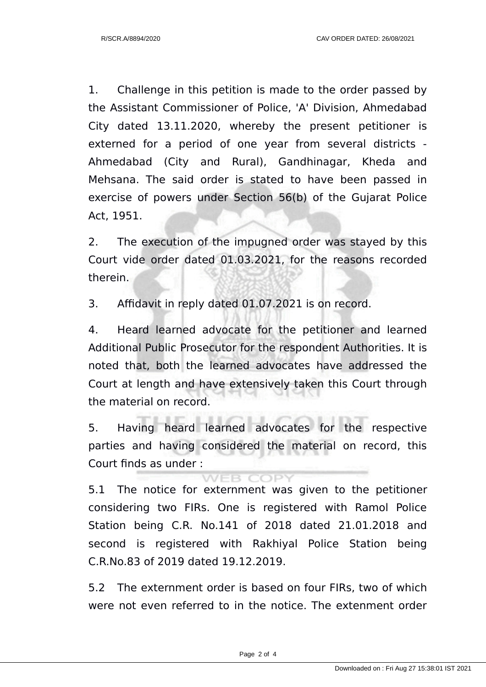1. Challenge in this petition is made to the order passed by the Assistant Commissioner of Police, 'A' Division, Ahmedabad City dated 13.11.2020, whereby the present petitioner is externed for a period of one year from several districts - Ahmedabad (City and Rural), Gandhinagar, Kheda and Mehsana. The said order is stated to have been passed in exercise of powers under Section 56(b) of the Gujarat Police Act, 1951.

2. The execution of the impugned order was stayed by this Court vide order dated 01.03.2021, for the reasons recorded therein.

3. Affidavit in reply dated 01.07.2021 is on record.

4. Heard learned advocate for the petitioner and learned Additional Public Prosecutor for the respondent Authorities. It is noted that, both the learned advocates have addressed the Court at length and have extensively taken this Court through the material on record.

5. Having heard learned advocates for the respective parties and having considered the material on record, this Court finds as under :

WEB COPY

5.1 The notice for externment was given to the petitioner considering two FIRs. One is registered with Ramol Police Station being C.R. No.141 of 2018 dated 21.01.2018 and second is registered with Rakhiyal Police Station being C.R.No.83 of 2019 dated 19.12.2019.

5.2 The externment order is based on four FIRs, two of which were not even referred to in the notice. The extenment order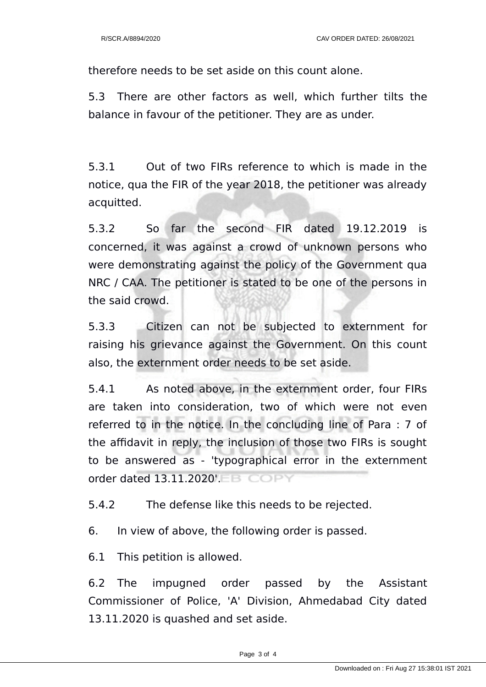therefore needs to be set aside on this count alone.

5.3 There are other factors as well, which further tilts the balance in favour of the petitioner. They are as under.

5.3.1 Out of two FIRs reference to which is made in the notice, qua the FIR of the year 2018, the petitioner was already acquitted.

5.3.2 So far the second FIR dated 19.12.2019 is concerned, it was against a crowd of unknown persons who were demonstrating against the policy of the Government qua NRC / CAA. The petitioner is stated to be one of the persons in the said crowd.

5.3.3 Citizen can not be subjected to externment for raising his grievance against the Government. On this count also, the externment order needs to be set aside.

5.4.1 As noted above, in the externment order, four FIRs are taken into consideration, two of which were not even referred to in the notice. In the concluding line of Para : 7 of the affidavit in reply, the inclusion of those two FIRs is sought to be answered as - 'typographical error in the externment order dated 13.11.2020'.

5.4.2 The defense like this needs to be rejected.

6. In view of above, the following order is passed.

6.1 This petition is allowed.

6.2 The impugned order passed by the Assistant Commissioner of Police, 'A' Division, Ahmedabad City dated 13.11.2020 is quashed and set aside.